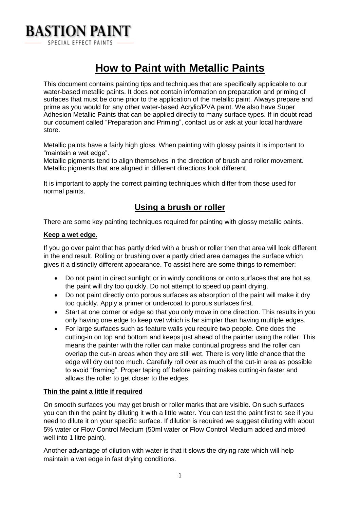

# **How to Paint with Metallic Paints**

This document contains painting tips and techniques that are specifically applicable to our water-based metallic paints. It does not contain information on preparation and priming of surfaces that must be done prior to the application of the metallic paint. Always prepare and prime as you would for any other water-based Acrylic/PVA paint. We also have Super Adhesion Metallic Paints that can be applied directly to many surface types. If in doubt read our document called "Preparation and Priming", contact us or ask at your local hardware store.

Metallic paints have a fairly high gloss. When painting with glossy paints it is important to "maintain a wet edge".

Metallic pigments tend to align themselves in the direction of brush and roller movement. Metallic pigments that are aligned in different directions look different.

It is important to apply the correct painting techniques which differ from those used for normal paints.

# **Using a brush or roller**

There are some key painting techniques required for painting with glossy metallic paints.

### **Keep a wet edge.**

If you go over paint that has partly dried with a brush or roller then that area will look different in the end result. Rolling or brushing over a partly dried area damages the surface which gives it a distinctly different appearance. To assist here are some things to remember:

- Do not paint in direct sunlight or in windy conditions or onto surfaces that are hot as the paint will dry too quickly. Do not attempt to speed up paint drying.
- Do not paint directly onto porous surfaces as absorption of the paint will make it dry too quickly. Apply a primer or undercoat to porous surfaces first.
- Start at one corner or edge so that you only move in one direction. This results in you only having one edge to keep wet which is far simpler than having multiple edges.
- For large surfaces such as feature walls you require two people. One does the cutting-in on top and bottom and keeps just ahead of the painter using the roller. This means the painter with the roller can make continual progress and the roller can overlap the cut-in areas when they are still wet. There is very little chance that the edge will dry out too much. Carefully roll over as much of the cut-in area as possible to avoid "framing". Proper taping off before painting makes cutting-in faster and allows the roller to get closer to the edges.

#### **Thin the paint a little if required**

On smooth surfaces you may get brush or roller marks that are visible. On such surfaces you can thin the paint by diluting it with a little water. You can test the paint first to see if you need to dilute it on your specific surface. If dilution is required we suggest diluting with about 5% water or Flow Control Medium (50ml water or Flow Control Medium added and mixed well into 1 litre paint).

Another advantage of dilution with water is that it slows the drying rate which will help maintain a wet edge in fast drying conditions.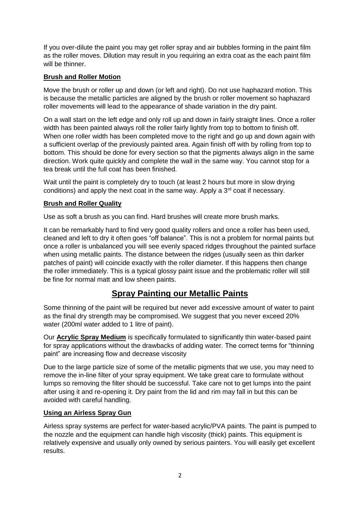If you over-dilute the paint you may get roller spray and air bubbles forming in the paint film as the roller moves. Dilution may result in you requiring an extra coat as the each paint film will be thinner.

### **Brush and Roller Motion**

Move the brush or roller up and down (or left and right). Do not use haphazard motion. This is because the metallic particles are aligned by the brush or roller movement so haphazard roller movements will lead to the appearance of shade variation in the dry paint.

On a wall start on the left edge and only roll up and down in fairly straight lines. Once a roller width has been painted always roll the roller fairly lightly from top to bottom to finish off. When one roller width has been completed move to the right and go up and down again with a sufficient overlap of the previously painted area. Again finish off with by rolling from top to bottom. This should be done for every section so that the pigments always align in the same direction. Work quite quickly and complete the wall in the same way. You cannot stop for a tea break until the full coat has been finished.

Wait until the paint is completely dry to touch (at least 2 hours but more in slow drying conditions) and apply the next coat in the same way. Apply a  $3<sup>rd</sup>$  coat if necessary.

# **Brush and Roller Quality**

Use as soft a brush as you can find. Hard brushes will create more brush marks.

It can be remarkably hard to find very good quality rollers and once a roller has been used, cleaned and left to dry it often goes "off balance". This is not a problem for normal paints but once a roller is unbalanced you will see evenly spaced ridges throughout the painted surface when using metallic paints. The distance between the ridges (usually seen as thin darker patches of paint) will coincide exactly with the roller diameter. If this happens then change the roller immediately. This is a typical glossy paint issue and the problematic roller will still be fine for normal matt and low sheen paints.

# **Spray Painting our Metallic Paints**

Some thinning of the paint will be required but never add excessive amount of water to paint as the final dry strength may be compromised. We suggest that you never exceed 20% water (200ml water added to 1 litre of paint).

Our **Acrylic Spray Medium** is specifically formulated to significantly thin water-based paint for spray applications without the drawbacks of adding water. The correct terms for "thinning paint" are increasing flow and decrease viscosity

Due to the large particle size of some of the metallic pigments that we use, you may need to remove the in-line filter of your spray equipment. We take great care to formulate without lumps so removing the filter should be successful. Take care not to get lumps into the paint after using it and re-opening it. Dry paint from the lid and rim may fall in but this can be avoided with careful handling.

### **Using an Airless Spray Gun**

Airless spray systems are perfect for water-based acrylic/PVA paints. The paint is pumped to the nozzle and the equipment can handle high viscosity (thick) paints. This equipment is relatively expensive and usually only owned by serious painters. You will easily get excellent results.